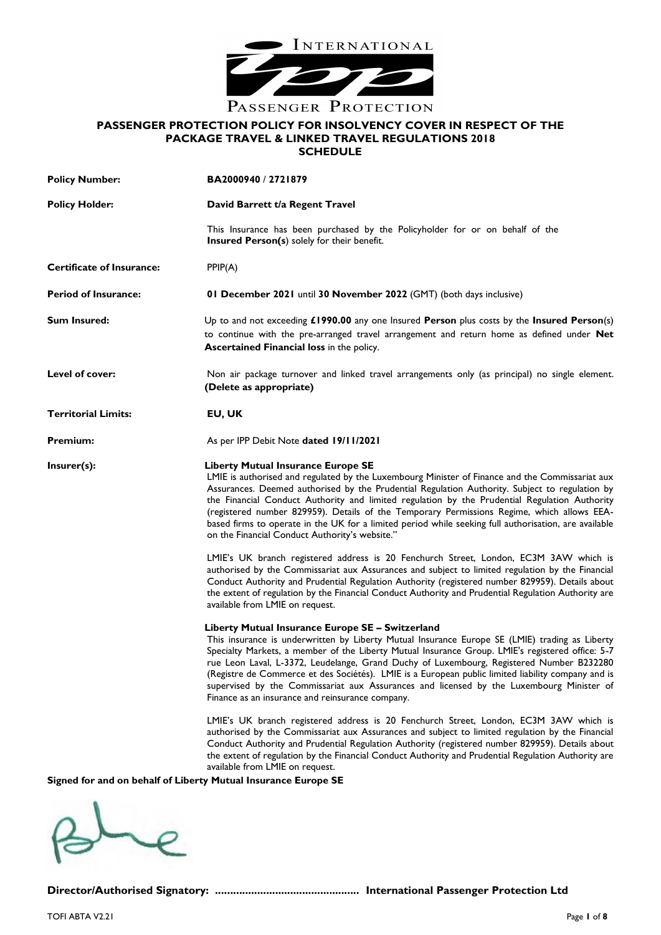

# **PASSENGER PROTECTION POLICY FOR INSOLVENCY COVER IN RESPECT OF THE PACKAGE TRAVEL & LINKED TRAVEL REGULATIONS 2018 SCHEDULE**

| <b>Policy Number:</b>                                          | BA2000940 / 2721879                                                                                                                                                                                                                                                                                                                                                                                                                                                                                                                                                                                      |
|----------------------------------------------------------------|----------------------------------------------------------------------------------------------------------------------------------------------------------------------------------------------------------------------------------------------------------------------------------------------------------------------------------------------------------------------------------------------------------------------------------------------------------------------------------------------------------------------------------------------------------------------------------------------------------|
| <b>Policy Holder:</b>                                          | David Barrett t/a Regent Travel                                                                                                                                                                                                                                                                                                                                                                                                                                                                                                                                                                          |
|                                                                | This Insurance has been purchased by the Policyholder for or on behalf of the<br><b>Insured Person(s)</b> solely for their benefit.                                                                                                                                                                                                                                                                                                                                                                                                                                                                      |
| <b>Certificate of Insurance:</b>                               | PPIP(A)                                                                                                                                                                                                                                                                                                                                                                                                                                                                                                                                                                                                  |
| <b>Period of Insurance:</b>                                    | 01 December 2021 until 30 November 2022 (GMT) (both days inclusive)                                                                                                                                                                                                                                                                                                                                                                                                                                                                                                                                      |
| <b>Sum Insured:</b>                                            | Up to and not exceeding £1990.00 any one Insured Person plus costs by the Insured Person(s)<br>to continue with the pre-arranged travel arrangement and return home as defined under Net<br>Ascertained Financial loss in the policy.                                                                                                                                                                                                                                                                                                                                                                    |
| Level of cover:                                                | Non air package turnover and linked travel arrangements only (as principal) no single element.<br>(Delete as appropriate)                                                                                                                                                                                                                                                                                                                                                                                                                                                                                |
| <b>Territorial Limits:</b>                                     | EU, UK                                                                                                                                                                                                                                                                                                                                                                                                                                                                                                                                                                                                   |
| <b>Premium:</b>                                                | As per IPP Debit Note dated 19/11/2021                                                                                                                                                                                                                                                                                                                                                                                                                                                                                                                                                                   |
| Insurer(s):                                                    | <b>Liberty Mutual Insurance Europe SE</b><br>LMIE is authorised and regulated by the Luxembourg Minister of Finance and the Commissariat aux<br>Assurances. Deemed authorised by the Prudential Regulation Authority. Subject to regulation by<br>the Financial Conduct Authority and limited regulation by the Prudential Regulation Authority<br>(registered number 829959). Details of the Temporary Permissions Regime, which allows EEA-<br>based firms to operate in the UK for a limited period while seeking full authorisation, are available<br>on the Financial Conduct Authority's website." |
|                                                                | LMIE's UK branch registered address is 20 Fenchurch Street, London, EC3M 3AW which is<br>authorised by the Commissariat aux Assurances and subject to limited regulation by the Financial<br>Conduct Authority and Prudential Regulation Authority (registered number 829959). Details about<br>the extent of regulation by the Financial Conduct Authority and Prudential Regulation Authority are<br>available from LMIE on request.                                                                                                                                                                   |
|                                                                | Liberty Mutual Insurance Europe SE - Switzerland<br>This insurance is underwritten by Liberty Mutual Insurance Europe SE (LMIE) trading as Liberty<br>Specialty Markets, a member of the Liberty Mutual Insurance Group. LMIE's registered office: 5-7<br>rue Leon Laval, L-3372, Leudelange, Grand Duchy of Luxembourg, Registered Number B232280<br>(Registre de Commerce et des Sociétés). LMIE is a European public limited liability company and is<br>supervised by the Commissariat aux Assurances and licensed by the Luxembourg Minister of<br>Finance as an insurance and reinsurance company. |
| Signed for and on behalf of Liberty Mutual Insurance Europe SE | LMIE's UK branch registered address is 20 Fenchurch Street, London, EC3M 3AW which is<br>authorised by the Commissariat aux Assurances and subject to limited regulation by the Financial<br>Conduct Authority and Prudential Regulation Authority (registered number 829959). Details about<br>the extent of regulation by the Financial Conduct Authority and Prudential Regulation Authority are<br>available from LMIE on request.                                                                                                                                                                   |



**Director/Authorised Signatory: ................................................ International Passenger Protection Ltd**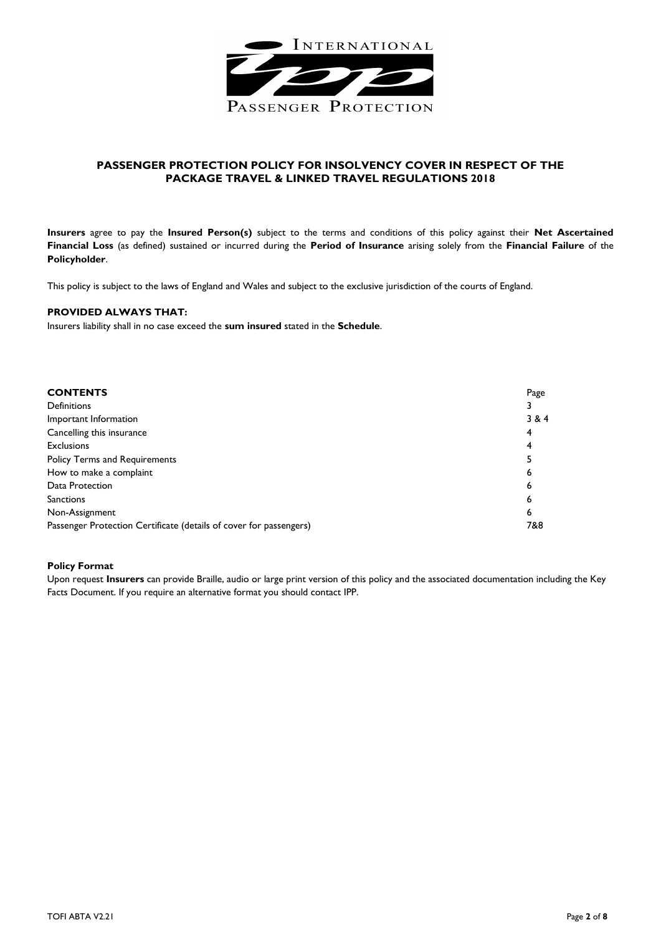

# **PASSENGER PROTECTION POLICY FOR INSOLVENCY COVER IN RESPECT OF THE PACKAGE TRAVEL & LINKED TRAVEL REGULATIONS 2018**

**Insurers** agree to pay the **Insured Person(s)** subject to the terms and conditions of this policy against their **Net Ascertained Financial Loss** (as defined) sustained or incurred during the **Period of Insurance** arising solely from the **Financial Failure** of the **Policyholder**.

This policy is subject to the laws of England and Wales and subject to the exclusive jurisdiction of the courts of England.

# **PROVIDED ALWAYS THAT:**

Insurers liability shall in no case exceed the **sum insured** stated in the **Schedule**.

| <b>CONTENTS</b>                                                    | Page  |
|--------------------------------------------------------------------|-------|
| <b>Definitions</b>                                                 |       |
| Important Information                                              | 3 & 4 |
| Cancelling this insurance                                          | 4     |
| <b>Exclusions</b>                                                  | 4     |
| <b>Policy Terms and Requirements</b>                               |       |
| How to make a complaint                                            | 6     |
| Data Protection                                                    | 6     |
| <b>Sanctions</b>                                                   | 6     |
| Non-Assignment                                                     | 6     |
| Passenger Protection Certificate (details of cover for passengers) |       |

# **Policy Format**

Upon request **Insurers** can provide Braille, audio or large print version of this policy and the associated documentation including the Key Facts Document. If you require an alternative format you should contact IPP.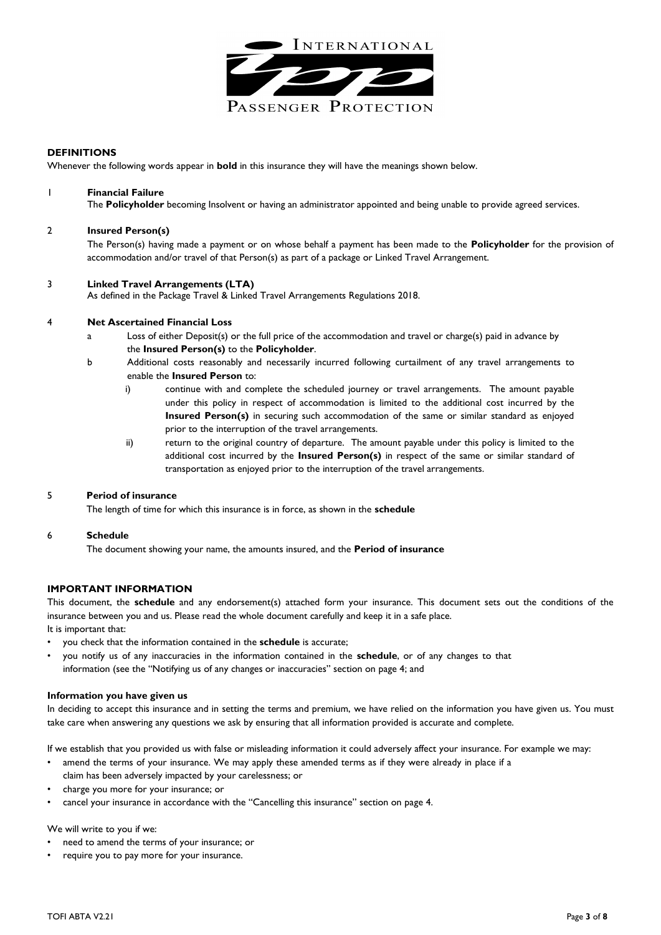

# **DEFINITIONS**

Whenever the following words appear in **bold** in this insurance they will have the meanings shown below.

# 1 **Financial Failure**

The **Policyholder** becoming Insolvent or having an administrator appointed and being unable to provide agreed services.

# 2 **Insured Person(s)**

The Person(s) having made a payment or on whose behalf a payment has been made to the **Policyholder** for the provision of accommodation and/or travel of that Person(s) as part of a package or Linked Travel Arrangement.

# 3 **Linked Travel Arrangements (LTA)**

As defined in the Package Travel & Linked Travel Arrangements Regulations 2018.

# 4 **Net Ascertained Financial Loss**

- Loss of either Deposit(s) or the full price of the accommodation and travel or charge(s) paid in advance by the **Insured Person(s)** to the **Policyholder**.
- b Additional costs reasonably and necessarily incurred following curtailment of any travel arrangements to enable the **Insured Person** to:
	- i) continue with and complete the scheduled journey or travel arrangements. The amount payable under this policy in respect of accommodation is limited to the additional cost incurred by the **Insured Person(s)** in securing such accommodation of the same or similar standard as enjoyed prior to the interruption of the travel arrangements.
	- ii) return to the original country of departure. The amount payable under this policy is limited to the additional cost incurred by the **Insured Person(s)** in respect of the same or similar standard of transportation as enjoyed prior to the interruption of the travel arrangements.

# 5 **Period of insurance**

The length of time for which this insurance is in force, as shown in the **schedule**

# 6 **Schedule**

The document showing your name, the amounts insured, and the **Period of insurance**

# **IMPORTANT INFORMATION**

This document, the **schedule** and any endorsement(s) attached form your insurance. This document sets out the conditions of the insurance between you and us. Please read the whole document carefully and keep it in a safe place.

It is important that:

- you check that the information contained in the **schedule** is accurate;
- you notify us of any inaccuracies in the information contained in the **schedule**, or of any changes to that information (see the "Notifying us of any changes or inaccuracies" section on page 4; and

# **Information you have given us**

In deciding to accept this insurance and in setting the terms and premium, we have relied on the information you have given us. You must take care when answering any questions we ask by ensuring that all information provided is accurate and complete.

If we establish that you provided us with false or misleading information it could adversely affect your insurance. For example we may:

- amend the terms of your insurance. We may apply these amended terms as if they were already in place if a claim has been adversely impacted by your carelessness; or
- charge you more for your insurance; or
- cancel your insurance in accordance with the "Cancelling this insurance" section on page 4.

# We will write to you if we:

- need to amend the terms of your insurance; or
- require you to pay more for your insurance.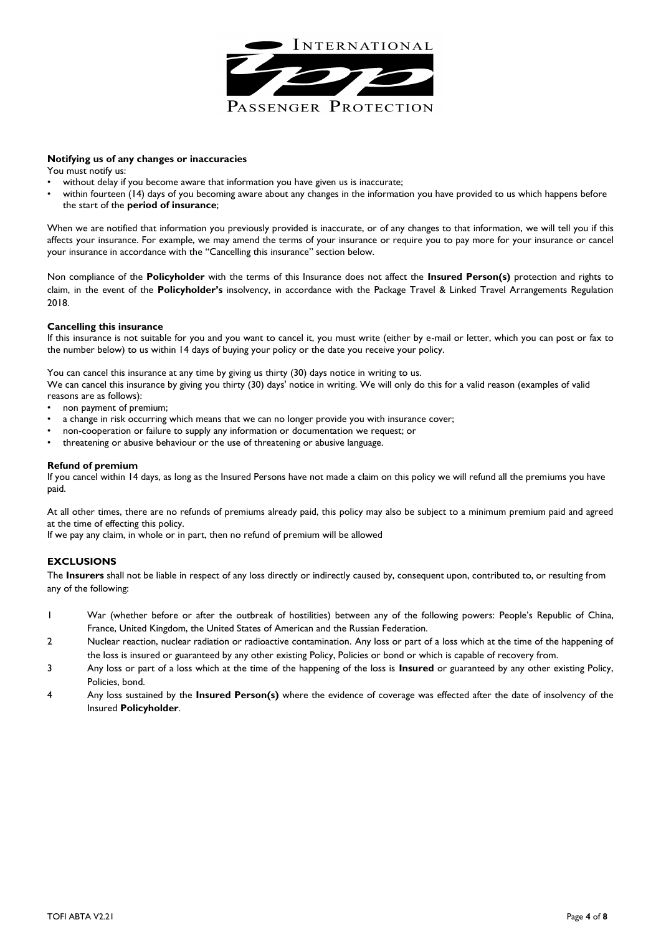

#### **Notifying us of any changes or inaccuracies**

You must notify us:

- without delay if you become aware that information you have given us is inaccurate;
- within fourteen (14) days of you becoming aware about any changes in the information you have provided to us which happens before the start of the **period of insurance**;

When we are notified that information you previously provided is inaccurate, or of any changes to that information, we will tell you if this affects your insurance. For example, we may amend the terms of your insurance or require you to pay more for your insurance or cancel your insurance in accordance with the "Cancelling this insurance" section below.

Non compliance of the **Policyholder** with the terms of this Insurance does not affect the **Insured Person(s)** protection and rights to claim, in the event of the **Policyholder's** insolvency, in accordance with the Package Travel & Linked Travel Arrangements Regulation 2018.

# **Cancelling this insurance**

If this insurance is not suitable for you and you want to cancel it, you must write (either by e-mail or letter, which you can post or fax to the number below) to us within 14 days of buying your policy or the date you receive your policy.

You can cancel this insurance at any time by giving us thirty (30) days notice in writing to us.

We can cancel this insurance by giving you thirty (30) days' notice in writing. We will only do this for a valid reason (examples of valid reasons are as follows):

- non payment of premium;
- a change in risk occurring which means that we can no longer provide you with insurance cover;
- non-cooperation or failure to supply any information or documentation we request; or
- threatening or abusive behaviour or the use of threatening or abusive language.

#### **Refund of premium**

If you cancel within 14 days, as long as the Insured Persons have not made a claim on this policy we will refund all the premiums you have paid.

At all other times, there are no refunds of premiums already paid, this policy may also be subject to a minimum premium paid and agreed at the time of effecting this policy.

If we pay any claim, in whole or in part, then no refund of premium will be allowed

# **EXCLUSIONS**

The **Insurers** shall not be liable in respect of any loss directly or indirectly caused by, consequent upon, contributed to, or resulting from any of the following:

- 1 War (whether before or after the outbreak of hostilities) between any of the following powers: People's Republic of China, France, United Kingdom, the United States of American and the Russian Federation.
- 2 Nuclear reaction, nuclear radiation or radioactive contamination. Any loss or part of a loss which at the time of the happening of the loss is insured or guaranteed by any other existing Policy, Policies or bond or which is capable of recovery from.
- 3 Any loss or part of a loss which at the time of the happening of the loss is **Insured** or guaranteed by any other existing Policy, Policies, bond.
- 4 Any loss sustained by the **Insured Person(s)** where the evidence of coverage was effected after the date of insolvency of the Insured **Policyholder**.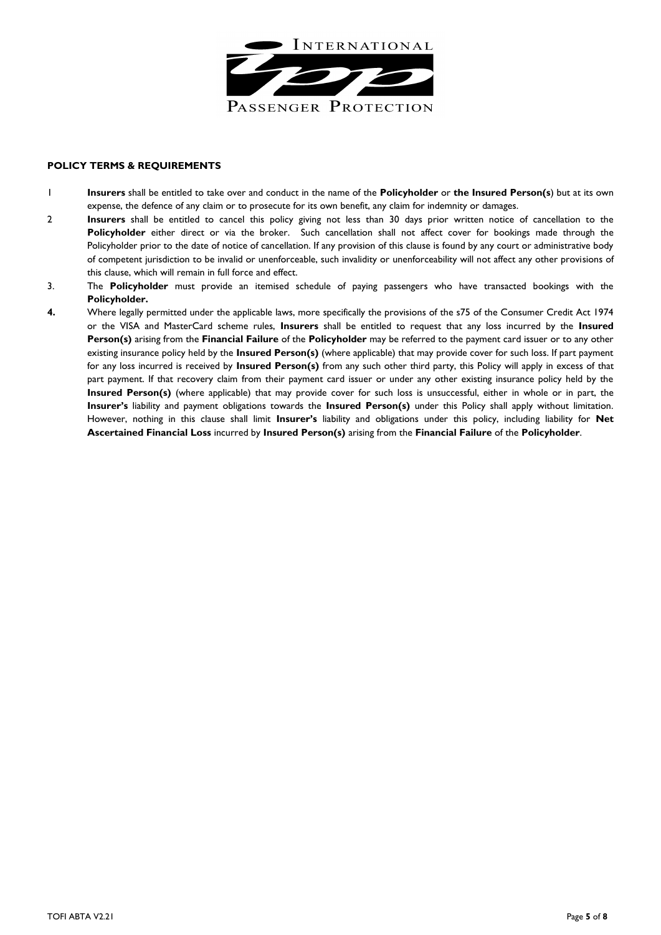

# **POLICY TERMS & REQUIREMENTS**

- 1 **Insurers** shall be entitled to take over and conduct in the name of the **Policyholder** or **the Insured Person(s**) but at its own expense, the defence of any claim or to prosecute for its own benefit, any claim for indemnity or damages.
- 2 **Insurers** shall be entitled to cancel this policy giving not less than 30 days prior written notice of cancellation to the **Policyholder** either direct or via the broker. Such cancellation shall not affect cover for bookings made through the Policyholder prior to the date of notice of cancellation. If any provision of this clause is found by any court or administrative body of competent jurisdiction to be invalid or unenforceable, such invalidity or unenforceability will not affect any other provisions of this clause, which will remain in full force and effect.
- 3. The **Policyholder** must provide an itemised schedule of paying passengers who have transacted bookings with the **Policyholder.**
- **4.** Where legally permitted under the applicable laws, more specifically the provisions of the s75 of the Consumer Credit Act 1974 or the VISA and MasterCard scheme rules, **Insurers** shall be entitled to request that any loss incurred by the **Insured Person(s)** arising from the **Financial Failure** of the **Policyholder** may be referred to the payment card issuer or to any other existing insurance policy held by the **Insured Person(s)** (where applicable) that may provide cover for such loss. If part payment for any loss incurred is received by **Insured Person(s)** from any such other third party, this Policy will apply in excess of that part payment. If that recovery claim from their payment card issuer or under any other existing insurance policy held by the **Insured Person(s)** (where applicable) that may provide cover for such loss is unsuccessful, either in whole or in part, the **Insurer's** liability and payment obligations towards the **Insured Person(s)** under this Policy shall apply without limitation. However, nothing in this clause shall limit **Insurer's** liability and obligations under this policy, including liability for **Net Ascertained Financial Loss** incurred by **Insured Person(s)** arising from the **Financial Failure** of the **Policyholder**.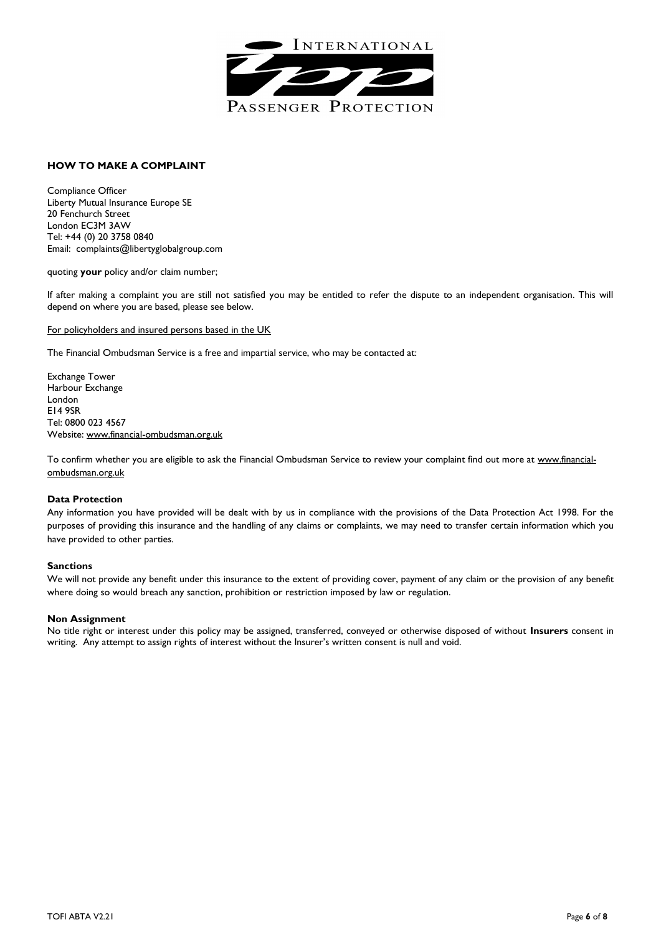

# **HOW TO MAKE A COMPLAINT**

Compliance Officer Liberty Mutual Insurance Europe SE 20 Fenchurch Street London EC3M 3AW Tel: +44 (0) 20 3758 0840 Email: complaints@libertyglobalgroup.com

quoting **your** policy and/or claim number;

If after making a complaint you are still not satisfied you may be entitled to refer the dispute to an independent organisation. This will depend on where you are based, please see below.

#### For policyholders and insured persons based in the UK

The Financial Ombudsman Service is a free and impartial service, who may be contacted at:

Exchange Tower Harbour Exchange London E14 9SR Tel: 0800 023 4567 Website: www.financial-ombudsman.org.uk

To confirm whether you are eligible to ask the Financial Ombudsman Service to review your complaint find out more at [www.financial](http://www.financial-ombudsman.org.uk/)[ombudsman.org.uk](http://www.financial-ombudsman.org.uk/)

#### **Data Protection**

Any information you have provided will be dealt with by us in compliance with the provisions of the Data Protection Act 1998. For the purposes of providing this insurance and the handling of any claims or complaints, we may need to transfer certain information which you have provided to other parties.

#### **Sanctions**

We will not provide any benefit under this insurance to the extent of providing cover, payment of any claim or the provision of any benefit where doing so would breach any sanction, prohibition or restriction imposed by law or regulation.

#### **Non Assignment**

No title right or interest under this policy may be assigned, transferred, conveyed or otherwise disposed of without **Insurers** consent in writing. Any attempt to assign rights of interest without the Insurer's written consent is null and void.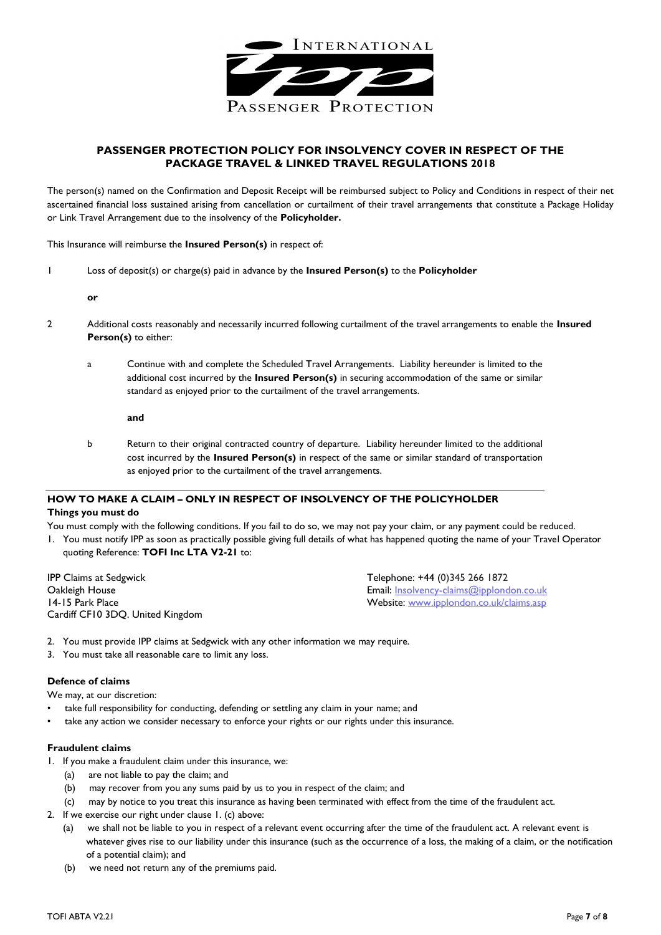

# **PASSENGER PROTECTION POLICY FOR INSOLVENCY COVER IN RESPECT OF THE PACKAGE TRAVEL & LINKED TRAVEL REGULATIONS 2018**

The person(s) named on the Confirmation and Deposit Receipt will be reimbursed subject to Policy and Conditions in respect of their net ascertained financial loss sustained arising from cancellation or curtailment of their travel arrangements that constitute a Package Holiday or Link Travel Arrangement due to the insolvency of the **Policyholder.**

This Insurance will reimburse the **Insured Person(s)** in respect of:

1 Loss of deposit(s) or charge(s) paid in advance by the **Insured Person(s)** to the **Policyholder**

**or**

- 2 Additional costs reasonably and necessarily incurred following curtailment of the travel arrangements to enable the **Insured Person(s)** to either:
	- a Continue with and complete the Scheduled Travel Arrangements. Liability hereunder is limited to the additional cost incurred by the **Insured Person(s)** in securing accommodation of the same or similar standard as enjoyed prior to the curtailment of the travel arrangements.

**and**

b Return to their original contracted country of departure. Liability hereunder limited to the additional cost incurred by the **Insured Person(s)** in respect of the same or similar standard of transportation as enjoyed prior to the curtailment of the travel arrangements.

# **HOW TO MAKE A CLAIM – ONLY IN RESPECT OF INSOLVENCY OF THE POLICYHOLDER**

# **Things you must do**

You must comply with the following conditions. If you fail to do so, we may not pay your claim, or any payment could be reduced.

1. You must notify IPP as soon as practically possible giving full details of what has happened quoting the name of your Travel Operator quoting Reference: **TOFI Inc LTA V2-21** to:

IPP Claims at Sedgwick<br>
Oakleigh House Contract Contract Contract Contract Contract Contract Contract Contract Contract Contract Contra<br>
Email: Insolvency-claims@ipplone Cardiff CF10 3DQ. United Kingdom

Oakleigh House Email: <u>Insolvency-claims@ipplondon.co.uk</u><br>14-15 Park Place Email[: Insolvency-claims@ipplondon.co.uk](mailto:Insolvency-claims@ipplondon.co.uk)/claims.asp Website: [www.ipplondon.co.uk/claims.asp](http://www.ipplondon.co.uk/claims.asp)

- 2. You must provide IPP claims at Sedgwick with any other information we may require.
- 3. You must take all reasonable care to limit any loss.

# **Defence of claims**

We may, at our discretion:

- take full responsibility for conducting, defending or settling any claim in your name; and
- take any action we consider necessary to enforce your rights or our rights under this insurance.

# **Fraudulent claims**

- 1. If you make a fraudulent claim under this insurance, we:
	- (a) are not liable to pay the claim; and
	- (b) may recover from you any sums paid by us to you in respect of the claim; and
	- (c) may by notice to you treat this insurance as having been terminated with effect from the time of the fraudulent act.
- 2. If we exercise our right under clause 1. (c) above:
	- (a) we shall not be liable to you in respect of a relevant event occurring after the time of the fraudulent act. A relevant event is whatever gives rise to our liability under this insurance (such as the occurrence of a loss, the making of a claim, or the notification of a potential claim); and
	- (b) we need not return any of the premiums paid.